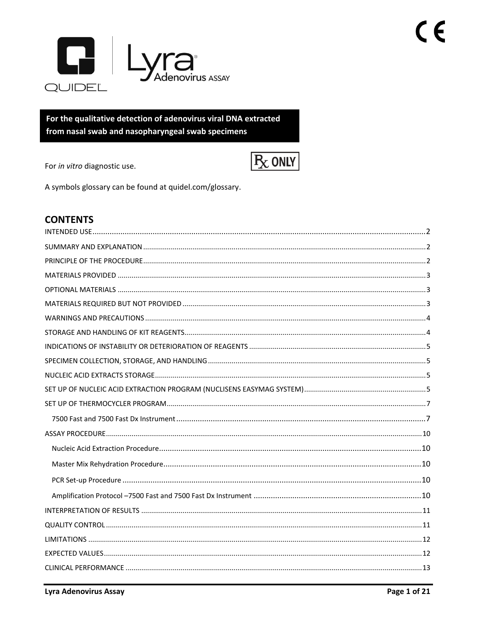

For the qualitative detection of adenovirus viral DNA extracted from nasal swab and nasopharyngeal swab specimens

For in vitro diagnostic use.



A symbols glossary can be found at quidel.com/glossary.

# **CONTENTS**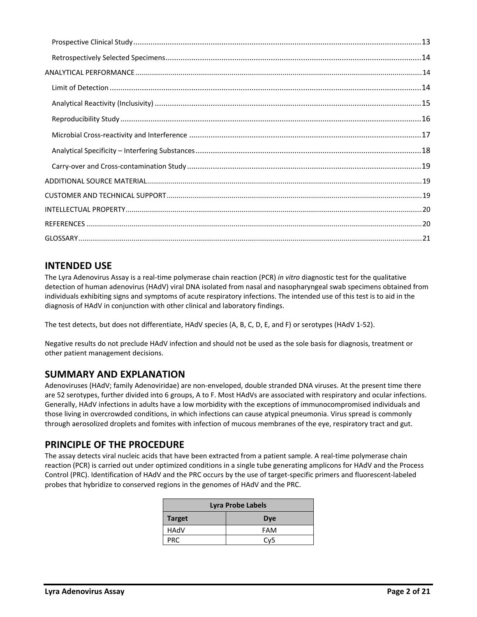# <span id="page-1-0"></span>**INTENDED USE**

The Lyra Adenovirus Assay is a real‐time polymerase chain reaction (PCR) *in vitro* diagnostic test for the qualitative detection of human adenovirus (HAdV) viral DNA isolated from nasal and nasopharyngeal swab specimens obtained from individuals exhibiting signs and symptoms of acute respiratory infections. The intended use of this test is to aid in the diagnosis of HAdV in conjunction with other clinical and laboratory findings.

The test detects, but does not differentiate, HAdV species (A, B, C, D, E, and F) or serotypes (HAdV 1-52).

Negative results do not preclude HAdV infection and should not be used as the sole basis for diagnosis, treatment or other patient management decisions.

#### <span id="page-1-1"></span>**SUMMARY AND EXPLANATION**

Adenoviruses (HAdV; family Adenoviridae) are non-enveloped, double stranded DNA viruses. At the present time there are 52 serotypes, further divided into 6 groups, A to F. Most HAdVs are associated with respiratory and ocular infections. Generally, HAdV infections in adults have a low morbidity with the exceptions of immunocompromised individuals and those living in overcrowded conditions, in which infections can cause atypical pneumonia. Virus spread is commonly through aerosolized droplets and fomites with infection of mucous membranes of the eye, respiratory tract and gut.

#### <span id="page-1-2"></span>**PRINCIPLE OF THE PROCEDURE**

The assay detects viral nucleic acids that have been extracted from a patient sample. A real-time polymerase chain reaction (PCR) is carried out under optimized conditions in a single tube generating amplicons for HAdV and the Process Control (PRC). Identification of HAdV and the PRC occurs by the use of target-specific primers and fluorescent-labeled probes that hybridize to conserved regions in the genomes of HAdV and the PRC.

| Lyra Probe Labels |                 |  |
|-------------------|-----------------|--|
| <b>Target</b>     | <b>Dye</b>      |  |
| HAdV              | <b>FAM</b>      |  |
| <b>PRC</b>        | Cv <sub>5</sub> |  |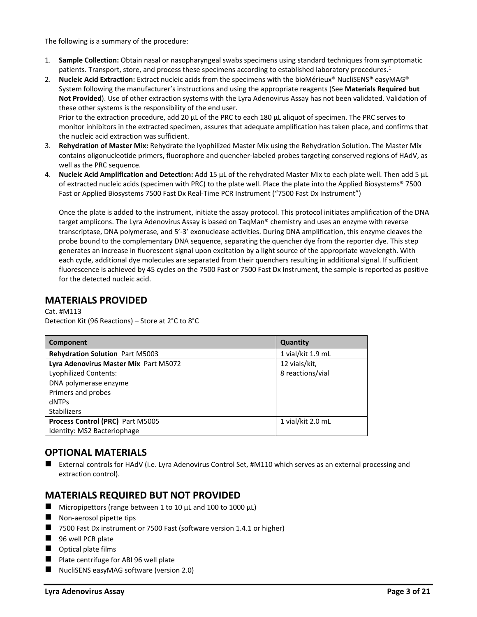The following is a summary of the procedure:

- 1. **Sample Collection:** Obtain nasal or nasopharyngeal swabs specimens using standard techniques from symptomatic patients. Transport, store, and process these specimens according to established laboratory procedures.<sup>1</sup>
- 2. **Nucleic Acid Extraction:** Extract nucleic acids from the specimens with the bioMérieux® NucliSENS® easyMAG® System following the manufacturer's instructions and using the appropriate reagents (See **Materials Required but Not Provided**). Use of other extraction systems with the Lyra Adenovirus Assay has not been validated. Validation of these other systems is the responsibility of the end user.

Prior to the extraction procedure, add 20 µL of the PRC to each 180 µL aliquot of specimen. The PRC serves to monitor inhibitors in the extracted specimen, assures that adequate amplification has taken place, and confirms that the nucleic acid extraction was sufficient.

- 3. **Rehydration of Master Mix:** Rehydrate the lyophilized Master Mix using the Rehydration Solution. The Master Mix contains oligonucleotide primers, fluorophore and quencher-labeled probes targeting conserved regions of HAdV, as well as the PRC sequence.
- 4. **Nucleic Acid Amplification and Detection:** Add 15 µL of the rehydrated Master Mix to each plate well. Then add 5 µL of extracted nucleic acids (specimen with PRC) to the plate well. Place the plate into the Applied Biosystems® 7500 Fast or Applied Biosystems 7500 Fast Dx Real-Time PCR Instrument ("7500 Fast Dx Instrument")

Once the plate is added to the instrument, initiate the assay protocol. This protocol initiates amplification of the DNA target amplicons. The Lyra Adenovirus Assay is based on TaqMan® chemistry and uses an enzyme with reverse transcriptase, DNA polymerase, and 5'-3' exonuclease activities. During DNA amplification, this enzyme cleaves the probe bound to the complementary DNA sequence, separating the quencher dye from the reporter dye. This step generates an increase in fluorescent signal upon excitation by a light source of the appropriate wavelength. With each cycle, additional dye molecules are separated from their quenchers resulting in additional signal. If sufficient fluorescence is achieved by 45 cycles on the 7500 Fast or 7500 Fast Dx Instrument, the sample is reported as positive for the detected nucleic acid.

#### <span id="page-2-0"></span>**MATERIALS PROVIDED**

Cat. #M113 Detection Kit (96 Reactions) – Store at 2°C to 8°C

| Component                              | Quantity          |
|----------------------------------------|-------------------|
| <b>Rehydration Solution Part M5003</b> | 1 vial/kit 1.9 mL |
| Lyra Adenovirus Master Mix Part M5072  | 12 vials/kit,     |
| <b>Lyophilized Contents:</b>           | 8 reactions/vial  |
| DNA polymerase enzyme                  |                   |
| Primers and probes                     |                   |
| dNTPs                                  |                   |
| <b>Stabilizers</b>                     |                   |
| Process Control (PRC) Part M5005       | 1 vial/kit 2.0 mL |
| Identity: MS2 Bacteriophage            |                   |

#### <span id="page-2-1"></span>**OPTIONAL MATERIALS**

■ External controls for HAdV (i.e. Lyra Adenovirus Control Set, #M110 which serves as an external processing and extraction control).

#### <span id="page-2-2"></span>**MATERIALS REQUIRED BUT NOT PROVIDED**

- $\blacksquare$  Micropipettors (range between 1 to 10 μL and 100 to 1000 μL)
- Non-aerosol pipette tips
- 7500 Fast Dx instrument or 7500 Fast (software version 1.4.1 or higher)
- 96 well PCR plate
- Optical plate films
- Plate centrifuge for ABI 96 well plate
- NucliSENS easyMAG software (version 2.0)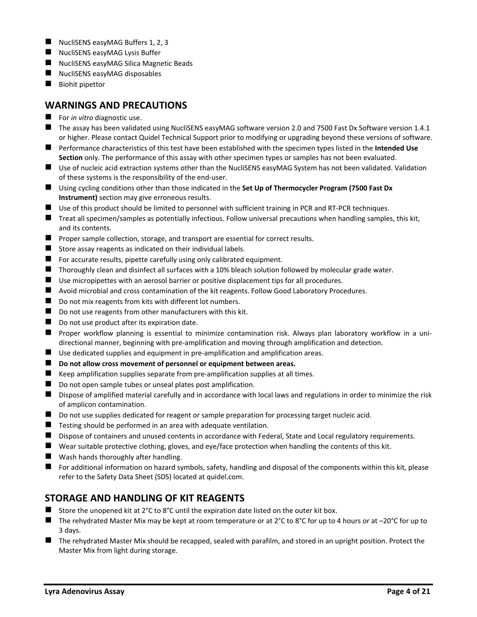- NucliSENS easyMAG Buffers 1, 2, 3
- NucliSENS easyMAG Lysis Buffer
- NucliSENS easyMAG Silica Magnetic Beads
- NucliSENS easyMAG disposables
- Biohit pipettor

#### <span id="page-3-0"></span>**WARNINGS AND PRECAUTIONS**

- For *in vitro* diagnostic use.
- The assay has been validated using NucliSENS easyMAG software version 2.0 and 7500 Fast Dx Software version 1.4.1 or higher. Please contact Quidel Technical Support prior to modifying or upgrading beyond these versions of software.
- Performance characteristics of this test have been established with the specimen types listed in the **Intended Use Section** only. The performance of this assay with other specimen types or samples has not been evaluated.
- Use of nucleic acid extraction systems other than the NucliSENS easyMAG System has not been validated. Validation of these systems is the responsibility of the end-user.
- ◼ Using cycling conditions other than those indicated in the **Set Up of Thermocycler Program (7500 Fast Dx Instrument)** section may give erroneous results.
- Use of this product should be limited to personnel with sufficient training in PCR and RT-PCR techniques.
- Treat all specimen/samples as potentially infectious. Follow universal precautions when handling samples, this kit, and its contents.
- Proper sample collection, storage, and transport are essential for correct results.
- Store assay reagents as indicated on their individual labels.
- For accurate results, pipette carefully using only calibrated equipment.
- Thoroughly clean and disinfect all surfaces with a 10% bleach solution followed by molecular grade water.
- Use micropipettes with an aerosol barrier or positive displacement tips for all procedures.
- Avoid microbial and cross contamination of the kit reagents. Follow Good Laboratory Procedures.
- Do not mix reagents from kits with different lot numbers.
- Do not use reagents from other manufacturers with this kit.
- $\blacksquare$  Do not use product after its expiration date.
- Proper workflow planning is essential to minimize contamination risk. Always plan laboratory workflow in a unidirectional manner, beginning with pre-amplification and moving through amplification and detection.
- Use dedicated supplies and equipment in pre-amplification and amplification areas.
- **Do not allow cross movement of personnel or equipment between areas.**
- Keep amplification supplies separate from pre-amplification supplies at all times.
- Do not open sample tubes or unseal plates post amplification.
- Dispose of amplified material carefully and in accordance with local laws and regulations in order to minimize the risk of amplicon contamination.
- Do not use supplies dedicated for reagent or sample preparation for processing target nucleic acid.
- $\blacksquare$  Testing should be performed in an area with adequate ventilation.
- Dispose of containers and unused contents in accordance with Federal, State and Local regulatory requirements.
- Wear suitable protective clothing, gloves, and eye/face protection when handling the contents of this kit.
- Wash hands thoroughly after handling.
- For additional information on hazard symbols, safety, handling and disposal of the components within this kit, please refer to the Safety Data Sheet (SDS) located at quidel.com.

#### <span id="page-3-1"></span>**STORAGE AND HANDLING OF KIT REAGENTS**

- Store the unopened kit at  $2^{\circ}C$  to  $8^{\circ}C$  until the expiration date listed on the outer kit box.
- The rehydrated Master Mix may be kept at room temperature or at 2°C to 8°C for up to 4 hours or at –20°C for up to 3 days.
- <span id="page-3-2"></span>■ The rehydrated Master Mix should be recapped, sealed with parafilm, and stored in an upright position. Protect the Master Mix from light during storage.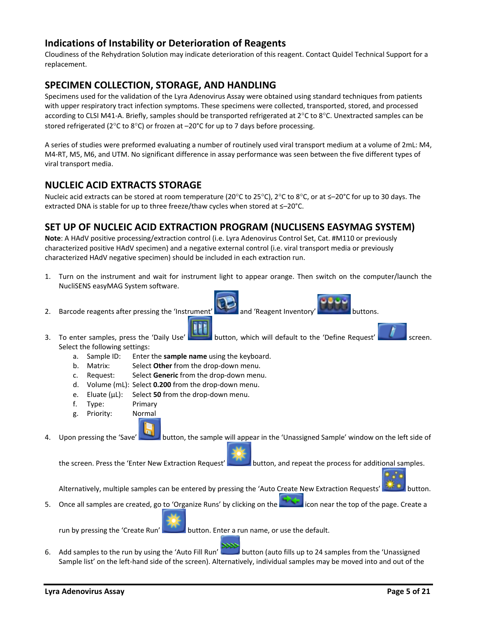#### **Indications of Instability or Deterioration of Reagents**

Cloudiness of the Rehydration Solution may indicate deterioration of this reagent. Contact Quidel Technical Support for a replacement.

# <span id="page-4-0"></span>**SPECIMEN COLLECTION, STORAGE, AND HANDLING**

Specimens used for the validation of the Lyra Adenovirus Assay were obtained using standard techniques from patients with upper respiratory tract infection symptoms. These specimens were collected, transported, stored, and processed according to CLSI M41-A. Briefly, samples should be transported refrigerated at  $2^{\circ}$ C to  $8^{\circ}$ C. Unextracted samples can be stored refrigerated ( $2^{\circ}$ C to  $8^{\circ}$ C) or frozen at  $-20^{\circ}$ C for up to 7 days before processing.

A series of studies were preformed evaluating a number of routinely used viral transport medium at a volume of 2mL: M4, M4-RT, M5, M6, and UTM. No significant difference in assay performance was seen between the five different types of viral transport media.

#### <span id="page-4-1"></span>**NUCLEIC ACID EXTRACTS STORAGE**

Nucleic acid extracts can be stored at room temperature (20°C to 25°C), 2°C to 8°C, or at ≤–20°C for up to 30 days. The extracted DNA is stable for up to three freeze/thaw cycles when stored at ≤–20°C.

# <span id="page-4-2"></span>**SET UP OF NUCLEIC ACID EXTRACTION PROGRAM (NUCLISENS EASYMAG SYSTEM)**

**Note**: A HAdV positive processing/extraction control (i.e. Lyra Adenovirus Control Set, Cat. #M110 or previously characterized positive HAdV specimen) and a negative external control (i.e. viral transport media or previously characterized HAdV negative specimen) should be included in each extraction run.

- 1. Turn on the instrument and wait for instrument light to appear orange. Then switch on the computer/launch the NucliSENS easyMAG System software.
- 2. Barcode reagents after pressing the 'Instrument' and 'Reagent Inventory' buttons.

- 3. To enter samples, press the 'Daily Use' button, which will default to the 'Define Request' screen. Select the following settings:
	- a. Sample ID: Enter the **sample name** using the keyboard.
	- b. Matrix: Select **Other** from the drop-down menu.
	- c. Request: Select **Generic** from the drop-down menu.
	- d. Volume (mL): Select **0.200** from the drop-down menu.
	- e. Eluate (µL): Select **50** from the drop-down menu.
	- f. Type: Primary
	- g. Priority: Normal

4. Upon pressing the 'Save' button, the sample will appear in the 'Unassigned Sample' window on the left side of

the screen. Press the 'Enter New Extraction Request' button, and repeat the process for additional samples.

Alternatively, multiple samples can be entered by pressing the 'Auto Create New Extraction Requests' **Antibolism** 

5. Once all samples are created, go to 'Organize Runs' by clicking on the **interest and its onear the top of the page.** Create a

run by pressing the 'Create Run' button. Enter a run name, or use the default.

6. Add samples to the run by using the 'Auto Fill Run' button (auto fills up to 24 samples from the 'Unassigned Sample list' on the left-hand side of the screen). Alternatively, individual samples may be moved into and out of the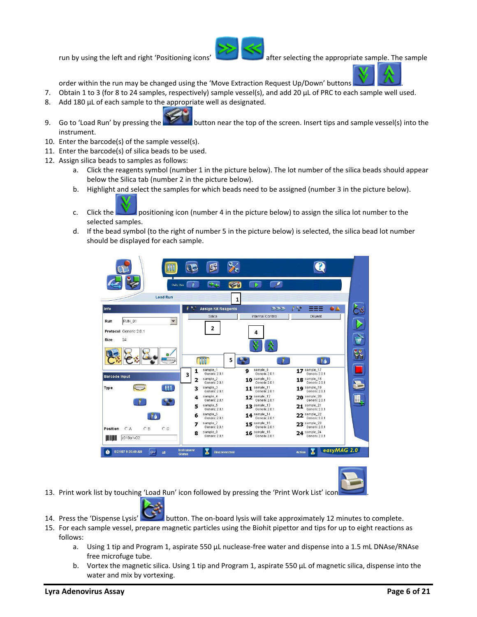

run by using the left and right 'Positioning icons' after selecting the appropriate sample. The sample



order within the run may be changed using the 'Move Extraction Request Up/Down' buttons .

- 7. Obtain 1 to 3 (for 8 to 24 samples, respectively) sample vessel(s), and add 20 µL of PRC to each sample well used.
- 8. Add 180 µL of each sample to the appropriate well as designated.
- 9. Go to 'Load Run' by pressing the **button near the top of the screen.** Insert tips and sample vessel(s) into the instrument.
- 10. Enter the barcode(s) of the sample vessel(s).
- 11. Enter the barcode(s) of silica beads to be used.
- 12. Assign silica beads to samples as follows:
	- a. Click the reagents symbol (number 1 in the picture below). The lot number of the silica beads should appear below the Silica tab (number 2 in the picture below).
	- b. Highlight and select the samples for which beads need to be assigned (number 3 in the picture below).
		-
	- c. Click the positioning icon (number 4 in the picture below) to assign the silica lot number to the selected samples.
	- d. If the bead symbol (to the right of number 5 in the picture below) is selected, the silica bead lot number should be displayed for each sample.





- 13. Print work list by touching 'Load Run' icon followed by pressing the 'Print Work List' icor
	-
- 14. Press the 'Dispense Lysis' button. The on-board lysis will take approximately 12 minutes to complete.
	- 15. For each sample vessel, prepare magnetic particles using the Biohit pipettor and tips for up to eight reactions as follows:
		- a. Using 1 tip and Program 1, aspirate 550 µL nuclease-free water and dispense into a 1.5 mL DNAse/RNAse free microfuge tube.
		- b. Vortex the magnetic silica. Using 1 tip and Program 1, aspirate 550 µL of magnetic silica, dispense into the water and mix by vortexing.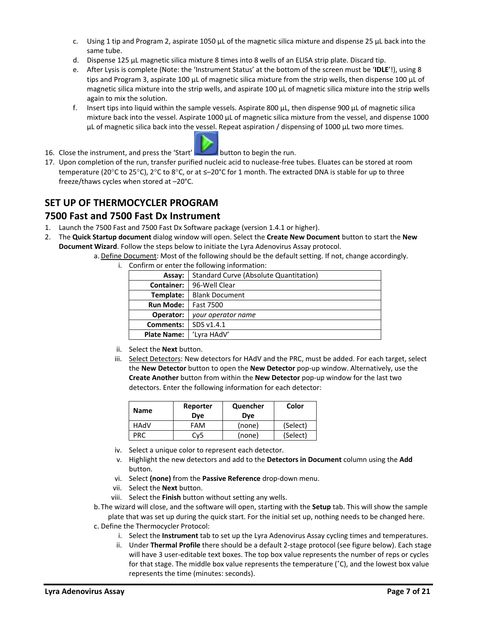- c. Using 1 tip and Program 2, aspirate 1050  $\mu$ L of the magnetic silica mixture and dispense 25  $\mu$ L back into the same tube.
- d. Dispense 125 µL magnetic silica mixture 8 times into 8 wells of an ELISA strip plate. Discard tip.
- e. After Lysis is complete (Note: the 'Instrument Status' at the bottom of the screen must be '**IDLE**'!), using 8 tips and Program 3, aspirate 100 µL of magnetic silica mixture from the strip wells, then dispense 100 µL of magnetic silica mixture into the strip wells, and aspirate 100 µL of magnetic silica mixture into the strip wells again to mix the solution.
- f. Insert tips into liquid within the sample vessels. Aspirate 800  $\mu$ L, then dispense 900  $\mu$ L of magnetic silica mixture back into the vessel. Aspirate 1000 µL of magnetic silica mixture from the vessel, and dispense 1000  $\mu$ L of magnetic silica back into the vessel. Repeat aspiration / dispensing of 1000  $\mu$ L two more times.
- 16. Close the instrument, and press the 'Start' button to begin the run.
- 17. Upon completion of the run, transfer purified nucleic acid to nuclease-free tubes. Eluates can be stored at room temperature (20°C to 25°C), 2°C to 8°C, or at ≤-20°C for 1 month. The extracted DNA is stable for up to three freeze/thaws cycles when stored at –20°C.

# <span id="page-6-0"></span>**SET UP OF THERMOCYCLER PROGRAM**

#### <span id="page-6-1"></span>**7500 Fast and 7500 Fast Dx Instrument**

- 1. Launch the 7500 Fast and 7500 Fast Dx Software package (version 1.4.1 or higher).
- 2. The **Quick Startup document** dialog window will open. Select the **Create New Document** button to start the **New Document Wizard**. Follow the steps below to initiate the Lyra Adenovirus Assay protocol.
	- a. Define Document: Most of the following should be the default setting. If not, change accordingly.
		- i. Confirm or enter the following information:

| Assay:             | Standard Curve (Absolute Quantitation) |  |  |
|--------------------|----------------------------------------|--|--|
| <b>Container:</b>  | 96-Well Clear                          |  |  |
| Template:          | <b>Blank Document</b>                  |  |  |
| <b>Run Mode:</b>   | <b>Fast 7500</b>                       |  |  |
| Operator:          | your operator name                     |  |  |
| <b>Comments:</b>   | SDS v1.4.1                             |  |  |
| <b>Plate Name:</b> | 'Lyra HAdV'                            |  |  |

- ii. Select the **Next** button.
- iii. Select Detectors: New detectors for HAdV and the PRC, must be added. For each target, select the **New Detector** button to open the **New Detector** pop-up window. Alternatively, use the **Create Another** button from within the **New Detector** pop-up window for the last two detectors. Enter the following information for each detector:

| <b>Name</b> | Reporter<br>Dve | Quencher<br>Dve | Color    |
|-------------|-----------------|-----------------|----------|
| HAdV        | FAM             | (none)          | (Select) |
| PRC.        | Cv5             | (none)          | (Select) |

- iv. Select a unique color to represent each detector.
- v. Highlight the new detectors and add to the **Detectors in Document** column using the **Add**  button.
- vi. Select **(none)** from the **Passive Reference** drop-down menu.
- vii. Select the **Next** button.
- viii. Select the **Finish** button without setting any wells.
- b.The wizard will close, and the software will open, starting with the **Setup** tab. This will show the sample plate that was set up during the quick start. For the initial set up, nothing needs to be changed here. c. Define the Thermocycler Protocol:
	- i. Select the **Instrument** tab to set up the Lyra Adenovirus Assay cycling times and temperatures.
	- ii. Under **Thermal Profile** there should be a default 2-stage protocol (see figure below). Each stage will have 3 user-editable text boxes. The top box value represents the number of reps or cycles for that stage. The middle box value represents the temperature  $(°C)$ , and the lowest box value represents the time (minutes: seconds).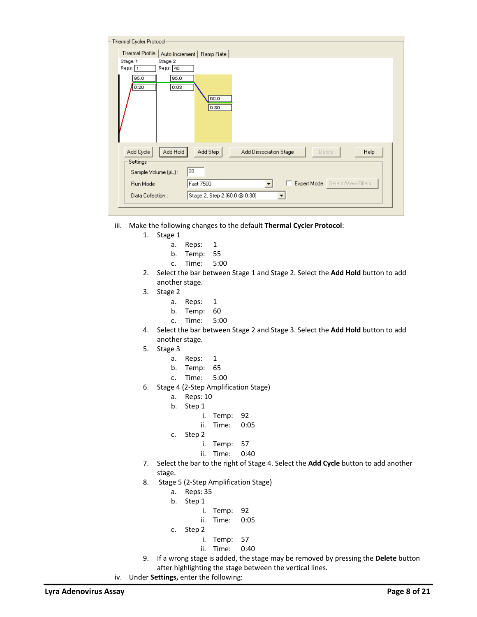| Thermal Cycler Protocol-                  |                                                             |
|-------------------------------------------|-------------------------------------------------------------|
| Thermal Profile<br>Auto Increment         | Ramp Rate                                                   |
| Stage 1<br>Stage 2<br>Reps: 1<br>Reps: 40 |                                                             |
| 95.0<br>95.0<br>0:03<br>0:20              | 60.0<br>0:30                                                |
| Add Hold<br>Add Cycle<br>Settings         | Add Step<br>Add Dissociation Stage<br><b>Help</b><br>Delete |
| 20<br>Sample Volume (µL):                 |                                                             |
| Fast 7500<br>Run Mode                     | Expert Mode Select/View Filters                             |
| Data Collection:                          | Stage 2, Step 2 (60.0 @ 0:30)                               |
|                                           |                                                             |

- iii. Make the following changes to the default **Thermal Cycler Protocol**:
	- 1. Stage 1
		- a. Reps: 1
		- b. Temp: 55
		- c. Time: 5:00
	- 2. Select the bar between Stage 1 and Stage 2. Select the **Add Hold** button to add another stage.
	- 3. Stage 2
		- a. Reps: 1
		- b. Temp: 60
		- c. Time: 5:00
	- 4. Select the bar between Stage 2 and Stage 3. Select the **Add Hold** button to add another stage.
	- 5. Stage 3
		- a. Reps: 1
		- b. Temp: 65
		- c. Time: 5:00
	- 6. Stage 4 (2-Step Amplification Stage)
		- a. Reps: 10
		- b. Step 1
			- i. Temp: 92
			- ii. Time: 0:05
		- c. Step 2
			- i. Temp: 57
			- ii. Time: 0:40
	- 7. Select the bar to the right of Stage 4. Select the **Add Cycle** button to add another stage.
	- 8. Stage 5 (2-Step Amplification Stage)
		- a. Reps: 35
		- b. Step 1
			- i. Temp: 92
			- ii. Time: 0:05
		- c. Step 2
			- i. Temp: 57
			- ii. Time: 0:40
	- 9. If a wrong stage is added, the stage may be removed by pressing the **Delete** button after highlighting the stage between the vertical lines.
- iv. Under **Settings,** enter the following: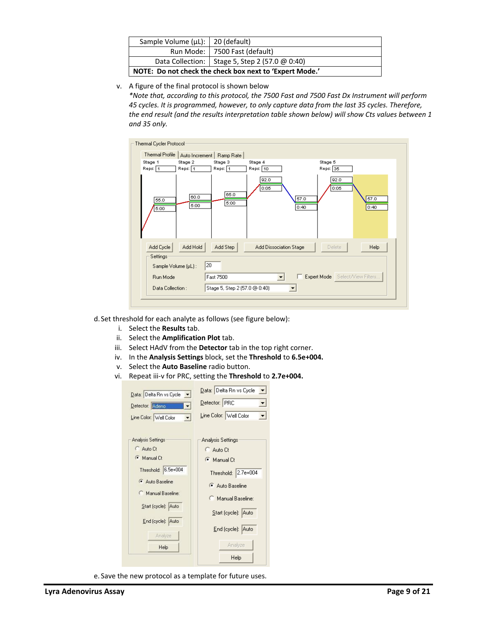| Sample Volume ( $\mu$ L):   20 (default) |                                                         |
|------------------------------------------|---------------------------------------------------------|
|                                          | Run Mode:   7500 Fast (default)                         |
|                                          | Data Collection:   Stage 5, Step 2 (57.0 @ 0:40)        |
|                                          | NOTE: Do not check the check box next to 'Expert Mode.' |

v. A figure of the final protocol is shown below

*\*Note that, according to this protocol, the 7500 Fast and 7500 Fast Dx Instrument will perform 45 cycles. It is programmed, however, to only capture data from the last 35 cycles. Therefore, the end result (and the results interpretation table shown below) will show Cts values between 1 and 35 only.* 

| Thermal Cycler Protocol |              |                               |                              |                                 |
|-------------------------|--------------|-------------------------------|------------------------------|---------------------------------|
| <b>Thermal Profile</b>  |              | Auto Increment   Ramp Rate    |                              |                                 |
| Stage 1                 | Stage 2      | Stage 3                       | Stage 4                      | Stage 5                         |
| Reps: 1                 | Reps: 1      | Reps: 1                       | Reps: 10                     | Reps: 35                        |
| 55.0<br>5:00            | 60.0<br>5:00 | 65.0<br>5:00                  | 92.0<br>0:05<br>57.0<br>0:40 | 92.0<br>0:05<br>57.0<br>0:40    |
| Add Cycle               | Add Hold     | Add Step                      | Add Dissociation Stage       | Help<br>Delete                  |
| Settings:               |              |                               |                              |                                 |
| Sample Volume (µL):     | 20           |                               |                              |                                 |
| Run Mode                |              | Fast 7500                     |                              | Expert Mode Select/View Filters |
| Data Collection:        |              | Stage 5, Step 2 (57.0 @ 0:40) |                              |                                 |
|                         |              |                               |                              |                                 |

d. Set threshold for each analyte as follows (see figure below):

- i. Select the **Results** tab.
- ii. Select the **Amplification Plot** tab.
- iii. Select HAdV from the **Detector** tab in the top right corner.
- iv. In the **Analysis Settings** block, set the **Threshold** to **6.5e+004.**
- v. Select the **Auto Baseline** radio button.
- vi. Repeat iii-v for PRC, setting the **Threshold** to **2.7e+004.**

| Data: Delta Rn vs Cycle v<br>Detector: Adeno<br>Line Color: Well Color                                                                                                | Data: Delta Rn vs Cycle<br>▾╎<br>Detector: PRC<br>Line Color: Well Color                                                                                                 |
|-----------------------------------------------------------------------------------------------------------------------------------------------------------------------|--------------------------------------------------------------------------------------------------------------------------------------------------------------------------|
| <b>Analysis Settings</b><br>C Auto Ct<br>Manual Ct<br>Threshold: 6.5e+004<br>Auto Baseline<br>Manual Baseline:<br>Start (cycle): Auto<br>End (cycle): Auto<br>Analyze | Analysis Settings<br>C Auto Ct<br>$\bullet$ Manual Ct<br>Threshold: 2.7e+004<br>Auto Baseline<br>Manual Baseline:<br>Start (cycle): Auto<br>End (cycle): Auto<br>Analyze |
| Help                                                                                                                                                                  | Help                                                                                                                                                                     |

e. Save the new protocol as a template for future uses.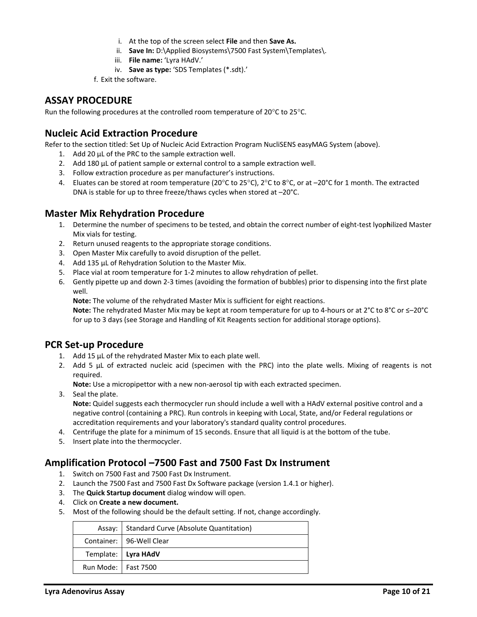- i. At the top of the screen select **File** and then **Save As.**
- ii. **Save In:** D:\Applied Biosystems\7500 Fast System\Templates\.
- iii. **File name:** 'Lyra HAdV.'
- iv. **Save as type:** 'SDS Templates (\*.sdt).'
- f. Exit the software.

#### <span id="page-9-0"></span>**ASSAY PROCEDURE**

Run the following procedures at the controlled room temperature of  $20^{\circ}$ C to  $25^{\circ}$ C.

#### <span id="page-9-1"></span>**Nucleic Acid Extraction Procedure**

Refer to the section titled: Set Up of Nucleic Acid Extraction Program NucliSENS easyMAG System (above).

- 1. Add 20 µL of the PRC to the sample extraction well.
- 2. Add 180 µL of patient sample or external control to a sample extraction well.
- 3. Follow extraction procedure as per manufacturer's instructions.
- 4. Eluates can be stored at room temperature (20 $^{\circ}$ C to 25 $^{\circ}$ C), 2 $^{\circ}$ C to 8 $^{\circ}$ C, or at  $-20^{\circ}$ C for 1 month. The extracted DNA is stable for up to three freeze/thaws cycles when stored at –20°C.

#### <span id="page-9-2"></span>**Master Mix Rehydration Procedure**

- 1. Determine the number of specimens to be tested, and obtain the correct number of eight-test lyop**h**ilized Master Mix vials for testing.
- 2. Return unused reagents to the appropriate storage conditions.
- 3. Open Master Mix carefully to avoid disruption of the pellet.
- 4. Add 135 µL of Rehydration Solution to the Master Mix.
- 5. Place vial at room temperature for 1-2 minutes to allow rehydration of pellet.
- 6. Gently pipette up and down 2-3 times (avoiding the formation of bubbles) prior to dispensing into the first plate well.

**Note:** The volume of the rehydrated Master Mix is sufficient for eight reactions.

**Note:** The rehydrated Master Mix may be kept at room temperature for up to 4-hours or at 2°C to 8°C or ≤–20°C for up to 3 days (see Storage and Handling of Kit Reagents section for additional storage options).

#### <span id="page-9-3"></span>**PCR Set-up Procedure**

- 1. Add 15 µL of the rehydrated Master Mix to each plate well.
- 2. Add 5 µL of extracted nucleic acid (specimen with the PRC) into the plate wells. Mixing of reagents is not required.

**Note:** Use a micropipettor with a new non-aerosol tip with each extracted specimen.

3. Seal the plate.

**Note:** Quidel suggests each thermocycler run should include a well with a HAdV external positive control and a negative control (containing a PRC). Run controls in keeping with Local, State, and/or Federal regulations or accreditation requirements and your laboratory's standard quality control procedures.

- 4. Centrifuge the plate for a minimum of 15 seconds. Ensure that all liquid is at the bottom of the tube.
- 5. Insert plate into the thermocycler.

#### <span id="page-9-4"></span>**Amplification Protocol –7500 Fast and 7500 Fast Dx Instrument**

- 1. Switch on 7500 Fast and 7500 Fast Dx Instrument.
- 2. Launch the 7500 Fast and 7500 Fast Dx Software package (version 1.4.1 or higher).
- 3. The **Quick Startup document** dialog window will open.
- 4. Click on **Create a new document.**
- 5. Most of the following should be the default setting. If not, change accordingly.

|                       | Assay:   Standard Curve (Absolute Quantitation) |
|-----------------------|-------------------------------------------------|
|                       | Container:   96-Well Clear                      |
|                       | Template:   Lyra HAdV                           |
| Run Mode:   Fast 7500 |                                                 |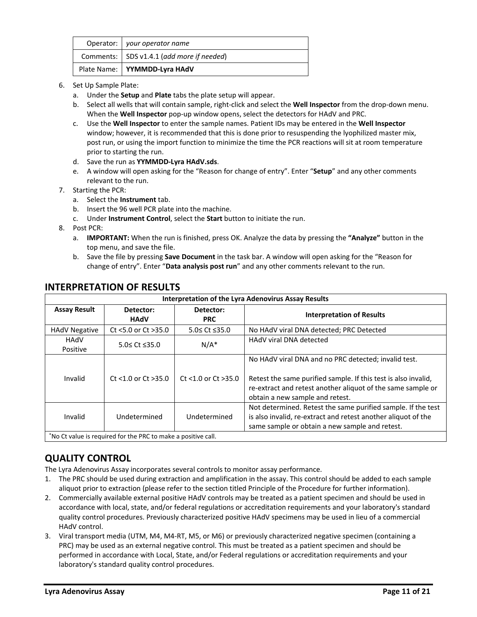| Operator:   your operator name              |
|---------------------------------------------|
| Comments:   SDS v1.4.1 (add more if needed) |
| Plate Name:   YYMMDD-Lyra HAdV              |

- 6. Set Up Sample Plate:
	- a. Under the **Setup** and **Plate** tabs the plate setup will appear.
	- b. Select all wells that will contain sample, right-click and select the **Well Inspector** from the drop-down menu. When the **Well Inspector** pop-up window opens, select the detectors for HAdV and PRC.
	- c. Use the **Well Inspector** to enter the sample names. Patient IDs may be entered in the **Well Inspector** window; however, it is recommended that this is done prior to resuspending the lyophilized master mix, post run, or using the import function to minimize the time the PCR reactions will sit at room temperature prior to starting the run.
	- d. Save the run as **YYMMDD-Lyra HAdV.sds**.
	- e. A window will open asking for the "Reason for change of entry". Enter "**Setup**" and any other comments relevant to the run.
- 7. Starting the PCR:
	- a. Select the **Instrument** tab.
	- b. Insert the 96 well PCR plate into the machine.
	- c. Under **Instrument Control**, select the **Start** button to initiate the run.
- 8. Post PCR:
	- a. **IMPORTANT:** When the run is finished, press OK. Analyze the data by pressing the **"Analyze"** button in the top menu, and save the file.
	- b. Save the file by pressing **Save Document** in the task bar. A window will open asking for the "Reason for change of entry". Enter "**Data analysis post run**" and any other comments relevant to the run.

| <b>Interpretation of the Lyra Adenovirus Assay Results</b>   |                         |                         |                                                                                                                                                                                                                          |  |  |  |  |
|--------------------------------------------------------------|-------------------------|-------------------------|--------------------------------------------------------------------------------------------------------------------------------------------------------------------------------------------------------------------------|--|--|--|--|
| <b>Assay Result</b>                                          | Detector:<br>HAdV       | Detector:<br><b>PRC</b> | <b>Interpretation of Results</b>                                                                                                                                                                                         |  |  |  |  |
| <b>HAdV Negative</b>                                         | Ct <5.0 or Ct >35.0     | 5.0≤ Ct ≤35.0           | No HAdV viral DNA detected; PRC Detected                                                                                                                                                                                 |  |  |  |  |
| HAdV<br>Positive                                             | $5.0 \leq Ct \leq 35.0$ | $N/A^*$                 | HAdV viral DNA detected                                                                                                                                                                                                  |  |  |  |  |
| Invalid                                                      | $Ct$ <1.0 or $Ct$ >35.0 | Ct <1.0 or Ct >35.0     | No HAdV viral DNA and no PRC detected; invalid test.<br>Retest the same purified sample. If this test is also invalid,<br>re-extract and retest another aliquot of the same sample or<br>obtain a new sample and retest. |  |  |  |  |
| Invalid                                                      | Undetermined            | Undetermined            | Not determined. Retest the same purified sample. If the test<br>is also invalid, re-extract and retest another aliquot of the<br>same sample or obtain a new sample and retest.                                          |  |  |  |  |
| The Ct value is required for the PRC to make a positive call |                         |                         |                                                                                                                                                                                                                          |  |  |  |  |

#### <span id="page-10-0"></span>**INTERPRETATION OF RESULTS**

 $\mid$   $\mid$  No Ct value is required for the PRC to make a positive call.

#### <span id="page-10-1"></span>**QUALITY CONTROL**

The Lyra Adenovirus Assay incorporates several controls to monitor assay performance.

- 1. The PRC should be used during extraction and amplification in the assay. This control should be added to each sample aliquot prior to extraction (please refer to the section titled Principle of the Procedure for further information).
- 2. Commercially available external positive HAdV controls may be treated as a patient specimen and should be used in accordance with local, state, and/or federal regulations or accreditation requirements and your laboratory's standard quality control procedures. Previously characterized positive HAdV specimens may be used in lieu of a commercial HAdV control.
- 3. Viral transport media (UTM, M4, M4-RT, M5, or M6) or previously characterized negative specimen (containing a PRC) may be used as an external negative control. This must be treated as a patient specimen and should be performed in accordance with Local, State, and/or Federal regulations or accreditation requirements and your laboratory's standard quality control procedures.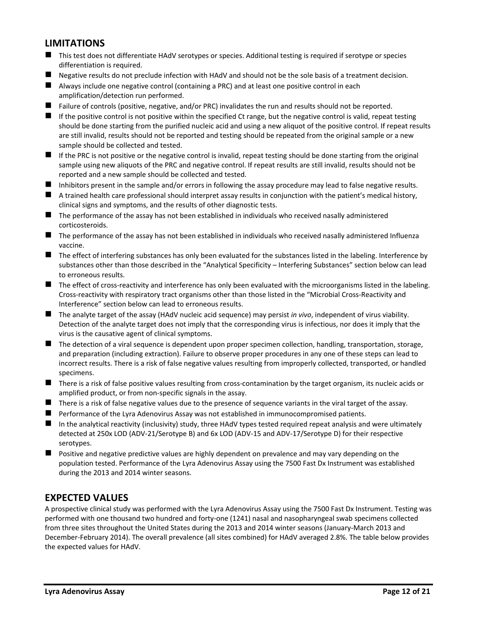#### <span id="page-11-0"></span>**LIMITATIONS**

- This test does not differentiate HAdV serotypes or species. Additional testing is required if serotype or species differentiation is required.
- Negative results do not preclude infection with HAdV and should not be the sole basis of a treatment decision.
- Always include one negative control (containing a PRC) and at least one positive control in each amplification/detection run performed.
- Failure of controls (positive, negative, and/or PRC) invalidates the run and results should not be reported.
- $\blacksquare$  If the positive control is not positive within the specified Ct range, but the negative control is valid, repeat testing should be done starting from the purified nucleic acid and using a new aliquot of the positive control. If repeat results are still invalid, results should not be reported and testing should be repeated from the original sample or a new sample should be collected and tested.
- $\blacksquare$  If the PRC is not positive or the negative control is invalid, repeat testing should be done starting from the original sample using new aliquots of the PRC and negative control. If repeat results are still invalid, results should not be reported and a new sample should be collected and tested.
- $\blacksquare$  Inhibitors present in the sample and/or errors in following the assay procedure may lead to false negative results.
- $\blacksquare$  A trained health care professional should interpret assay results in conjunction with the patient's medical history, clinical signs and symptoms, and the results of other diagnostic tests.
- The performance of the assay has not been established in individuals who received nasally administered corticosteroids.
- The performance of the assay has not been established in individuals who received nasally administered Influenza vaccine.
- The effect of interfering substances has only been evaluated for the substances listed in the labeling. Interference by substances other than those described in the "Analytical Specificity – Interfering Substances" section below can lead to erroneous results.
- The effect of cross-reactivity and interference has only been evaluated with the microorganisms listed in the labeling. Cross-reactivity with respiratory tract organisms other than those listed in the "Microbial Cross-Reactivity and Interference" section below can lead to erroneous results.
- ◼ The analyte target of the assay (HAdV nucleic acid sequence) may persist *in vivo*, independent of virus viability. Detection of the analyte target does not imply that the corresponding virus is infectious, nor does it imply that the virus is the causative agent of clinical symptoms.
- The detection of a viral sequence is dependent upon proper specimen collection, handling, transportation, storage, and preparation (including extraction). Failure to observe proper procedures in any one of these steps can lead to incorrect results. There is a risk of false negative values resulting from improperly collected, transported, or handled specimens.
- $\blacksquare$  There is a risk of false positive values resulting from cross-contamination by the target organism, its nucleic acids or amplified product, or from non-specific signals in the assay.
- There is a risk of false negative values due to the presence of sequence variants in the viral target of the assay.
- Performance of the Lyra Adenovirus Assay was not established in immunocompromised patients.
- In the analytical reactivity (inclusivity) study, three HAdV types tested required repeat analysis and were ultimately detected at 250x LOD (ADV-21/Serotype B) and 6x LOD (ADV-15 and ADV-17/Serotype D) for their respective serotypes.
- Positive and negative predictive values are highly dependent on prevalence and may vary depending on the population tested. Performance of the Lyra Adenovirus Assay using the 7500 Fast Dx Instrument was established during the 2013 and 2014 winter seasons.

#### <span id="page-11-1"></span>**EXPECTED VALUES**

A prospective clinical study was performed with the Lyra Adenovirus Assay using the 7500 Fast Dx Instrument. Testing was performed with one thousand two hundred and forty-one (1241) nasal and nasopharyngeal swab specimens collected from three sites throughout the United States during the 2013 and 2014 winter seasons (January-March 2013 and December-February 2014). The overall prevalence (all sites combined) for HAdV averaged 2.8%. The table below provides the expected values for HAdV.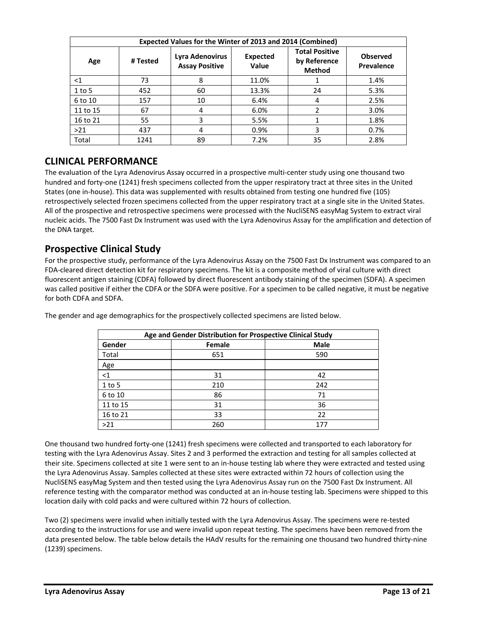| Expected Values for the Winter of 2013 and 2014 (Combined) |          |                                          |                                 |                                                        |                               |  |  |  |
|------------------------------------------------------------|----------|------------------------------------------|---------------------------------|--------------------------------------------------------|-------------------------------|--|--|--|
| Age                                                        | # Tested | Lyra Adenovirus<br><b>Assay Positive</b> | <b>Expected</b><br><b>Value</b> | <b>Total Positive</b><br>by Reference<br><b>Method</b> | <b>Observed</b><br>Prevalence |  |  |  |
| $<$ 1                                                      | 73       | 8                                        | 11.0%                           |                                                        | 1.4%                          |  |  |  |
| $1$ to 5                                                   | 452      | 60                                       | 13.3%                           | 24                                                     | 5.3%                          |  |  |  |
| 6 to 10                                                    | 157      | 10                                       | 6.4%                            | 4                                                      | 2.5%                          |  |  |  |
| 11 to 15                                                   | 67       | 4                                        | 6.0%                            |                                                        | 3.0%                          |  |  |  |
| 16 to 21                                                   | 55       | 3                                        | 5.5%                            |                                                        | 1.8%                          |  |  |  |
| >21                                                        | 437      | 4                                        | 0.9%                            | 3                                                      | 0.7%                          |  |  |  |
| Total                                                      | 1241     | 89                                       | 7.2%                            | 35                                                     | 2.8%                          |  |  |  |

# <span id="page-12-0"></span>**CLINICAL PERFORMANCE**

The evaluation of the Lyra Adenovirus Assay occurred in a prospective multi-center study using one thousand two hundred and forty-one (1241) fresh specimens collected from the upper respiratory tract at three sites in the United States (one in-house). This data was supplemented with results obtained from testing one hundred five (105) retrospectively selected frozen specimens collected from the upper respiratory tract at a single site in the United States. All of the prospective and retrospective specimens were processed with the NucliSENS easyMag System to extract viral nucleic acids. The 7500 Fast Dx Instrument was used with the Lyra Adenovirus Assay for the amplification and detection of the DNA target.

#### <span id="page-12-1"></span>**Prospective Clinical Study**

For the prospective study, performance of the Lyra Adenovirus Assay on the 7500 Fast Dx Instrument was compared to an FDA-cleared direct detection kit for respiratory specimens. The kit is a composite method of viral culture with direct fluorescent antigen staining (CDFA) followed by direct fluorescent antibody staining of the specimen (SDFA). A specimen was called positive if either the CDFA or the SDFA were positive. For a specimen to be called negative, it must be negative for both CDFA and SDFA.

| Age and Gender Distribution for Prospective Clinical Study |        |             |  |  |  |  |
|------------------------------------------------------------|--------|-------------|--|--|--|--|
| Gender                                                     | Female | <b>Male</b> |  |  |  |  |
| Total                                                      | 651    | 590         |  |  |  |  |
| Age                                                        |        |             |  |  |  |  |
| $<$ 1                                                      | 31     | 42          |  |  |  |  |
| $1$ to 5                                                   | 210    | 242         |  |  |  |  |
| 6 to 10                                                    | 86     | 71          |  |  |  |  |
| 11 to 15                                                   | 31     | 36          |  |  |  |  |
| 16 to 21                                                   | 33     | 22          |  |  |  |  |
| >21                                                        | 260    | 177         |  |  |  |  |

The gender and age demographics for the prospectively collected specimens are listed below.

One thousand two hundred forty-one (1241) fresh specimens were collected and transported to each laboratory for testing with the Lyra Adenovirus Assay. Sites 2 and 3 performed the extraction and testing for all samples collected at their site. Specimens collected at site 1 were sent to an in-house testing lab where they were extracted and tested using the Lyra Adenovirus Assay. Samples collected at these sites were extracted within 72 hours of collection using the NucliSENS easyMag System and then tested using the Lyra Adenovirus Assay run on the 7500 Fast Dx Instrument. All reference testing with the comparator method was conducted at an in-house testing lab. Specimens were shipped to this location daily with cold packs and were cultured within 72 hours of collection.

Two (2) specimens were invalid when initially tested with the Lyra Adenovirus Assay. The specimens were re-tested according to the instructions for use and were invalid upon repeat testing. The specimens have been removed from the data presented below. The table below details the HAdV results for the remaining one thousand two hundred thirty-nine (1239) specimens.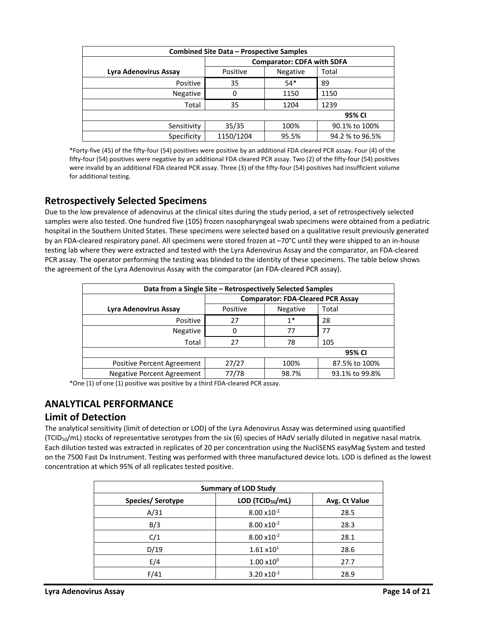| <b>Combined Site Data - Prospective Samples</b> |           |                                   |                 |  |  |  |  |
|-------------------------------------------------|-----------|-----------------------------------|-----------------|--|--|--|--|
|                                                 |           | <b>Comparator: CDFA with SDFA</b> |                 |  |  |  |  |
| Lyra Adenovirus Assay                           | Positive  | Negative                          | Total           |  |  |  |  |
| Positive                                        | 35        | $54*$                             | 89              |  |  |  |  |
| Negative                                        | 0         | 1150                              | 1150            |  |  |  |  |
| Total                                           | 35        | 1204                              | 1239            |  |  |  |  |
|                                                 | 95% CI    |                                   |                 |  |  |  |  |
| Sensitivity                                     | 35/35     | 100%                              | 90.1% to 100%   |  |  |  |  |
| Specificity                                     | 1150/1204 | 95.5%                             | 94.2 % to 96.5% |  |  |  |  |

\*Forty-five (45) of the fifty-four (54) positives were positive by an additional FDA cleared PCR assay. Four (4) of the fifty-four (54) positives were negative by an additional FDA cleared PCR assay. Two (2) of the fifty-four (54) positives were invalid by an additional FDA cleared PCR assay. Three (3) of the fifty-four (54) positives had insufficient volume for additional testing.

# <span id="page-13-0"></span>**Retrospectively Selected Specimens**

Due to the low prevalence of adenovirus at the clinical sites during the study period, a set of retrospectively selected samples were also tested. One hundred five (105) frozen nasopharyngeal swab specimens were obtained from a pediatric hospital in the Southern United States. These specimens were selected based on a qualitative result previously generated by an FDA-cleared respiratory panel. All specimens were stored frozen at –70°C until they were shipped to an in-house testing lab where they were extracted and tested with the Lyra Adenovirus Assay and the comparator, an FDA-cleared PCR assay. The operator performing the testing was blinded to the identity of these specimens. The table below shows the agreement of the Lyra Adenovirus Assay with the comparator (an FDA-cleared PCR assay).

| Data from a Single Site – Retrospectively Selected Samples |                                          |          |                |  |  |  |  |
|------------------------------------------------------------|------------------------------------------|----------|----------------|--|--|--|--|
|                                                            | <b>Comparator: FDA-Cleared PCR Assay</b> |          |                |  |  |  |  |
| Lyra Adenovirus Assay                                      | Positive                                 | Negative | Total          |  |  |  |  |
| <b>Positive</b>                                            | 27                                       | $1*$     | 28             |  |  |  |  |
| Negative                                                   | 0                                        | 77       | 77             |  |  |  |  |
| Total                                                      | 27                                       | 78       | 105            |  |  |  |  |
|                                                            |                                          |          |                |  |  |  |  |
| Positive Percent Agreement                                 | 27/27                                    | 100%     | 87.5% to 100%  |  |  |  |  |
| <b>Negative Percent Agreement</b>                          | 77/78                                    | 98.7%    | 93.1% to 99.8% |  |  |  |  |

\*One (1) of one (1) positive was positive by a third FDA-cleared PCR assay.

# <span id="page-13-1"></span>**ANALYTICAL PERFORMANCE**

#### <span id="page-13-2"></span>**Limit of Detection**

The analytical sensitivity (limit of detection or LOD) of the Lyra Adenovirus Assay was determined using quantified (TCID<sub>50</sub>/mL) stocks of representative serotypes from the six (6) species of HAdV serially diluted in negative nasal matrix. Each dilution tested was extracted in replicates of 20 per concentration using the NucliSENS easyMag System and tested on the 7500 Fast Dx Instrument. Testing was performed with three manufactured device lots. LOD is defined as the lowest concentration at which 95% of all replicates tested positive.

| <b>Summary of LOD Study</b> |                        |               |  |  |  |  |
|-----------------------------|------------------------|---------------|--|--|--|--|
| Species/ Serotype           | LOD (TCID $_{50}$ /mL) | Avg. Ct Value |  |  |  |  |
| A/31                        | $8.00 \times 10^{-2}$  | 28.5          |  |  |  |  |
| B/3                         | $8.00 \times 10^{-2}$  | 28.3          |  |  |  |  |
| C/1                         | $8.00 \times 10^{-2}$  | 28.1          |  |  |  |  |
| D/19                        | 1.61 x10 <sup>1</sup>  | 28.6          |  |  |  |  |
| E/4                         | $1.00 \times 10^{0}$   | 27.7          |  |  |  |  |
| F/41                        | $3.20 \times 10^{-2}$  | 28.9          |  |  |  |  |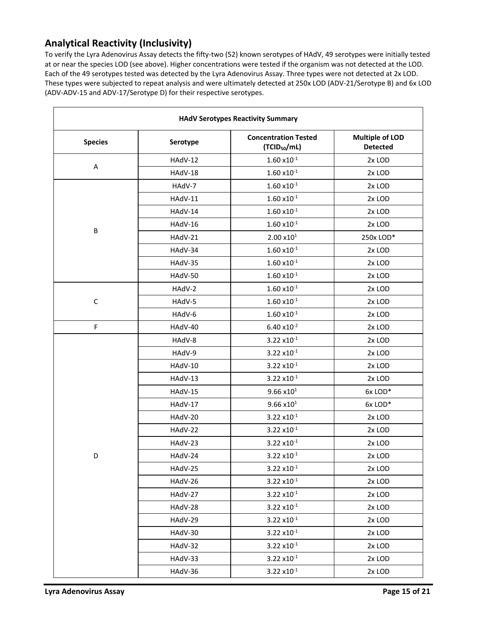# <span id="page-14-0"></span>**Analytical Reactivity (Inclusivity)**

To verify the Lyra Adenovirus Assay detects the fifty-two (52) known serotypes of HAdV, 49 serotypes were initially tested at or near the species LOD (see above). Higher concentrations were tested if the organism was not detected at the LOD. Each of the 49 serotypes tested was detected by the Lyra Adenovirus Assay. Three types were not detected at 2x LOD. These types were subjected to repeat analysis and were ultimately detected at 250x LOD (ADV-21/Serotype B) and 6x LOD (ADV-ADV-15 and ADV-17/Serotype D) for their respective serotypes.

| <b>HAdV Serotypes Reactivity Summary</b> |          |                                                         |                                           |  |  |
|------------------------------------------|----------|---------------------------------------------------------|-------------------------------------------|--|--|
| <b>Species</b>                           | Serotype | <b>Concentration Tested</b><br>(TCID <sub>50</sub> /mL) | <b>Multiple of LOD</b><br><b>Detected</b> |  |  |
| A                                        | HAdV-12  | $1.60 \times 10^{-1}$                                   | 2x LOD                                    |  |  |
|                                          | HAdV-18  | $1.60 \times 10^{-1}$                                   | 2x LOD                                    |  |  |
|                                          | HAdV-7   | $1.60 \times 10^{-1}$                                   | 2x LOD                                    |  |  |
|                                          | HAdV-11  | $1.60 \times 10^{-1}$                                   | 2x LOD                                    |  |  |
|                                          | HAdV-14  | $1.60 \times 10^{-1}$                                   | 2x LOD                                    |  |  |
|                                          | HAdV-16  | $1.60 \times 10^{-1}$                                   | 2x LOD                                    |  |  |
| B                                        | HAdV-21  | $2.00 \times 10^{1}$                                    | 250x LOD*                                 |  |  |
|                                          | HAdV-34  | $1.60 \times 10^{-1}$                                   | 2x LOD                                    |  |  |
|                                          | HAdV-35  | $1.60 \times 10^{-1}$                                   | 2x LOD                                    |  |  |
|                                          | HAdV-50  | $1.60 \times 10^{-1}$                                   | 2x LOD                                    |  |  |
|                                          | HAdV-2   | $1.60 \times 10^{-1}$                                   | 2x LOD                                    |  |  |
| $\mathsf C$                              | HAdV-5   | $1.60 \times 10^{-1}$                                   | 2x LOD                                    |  |  |
|                                          | HAdV-6   | $1.60 \times 10^{-1}$                                   | 2x LOD                                    |  |  |
| F                                        | HAdV-40  | $6.40 \times 10^{-2}$                                   | 2x LOD                                    |  |  |
|                                          | HAdV-8   | $3.22 \times 10^{-1}$                                   | 2x LOD                                    |  |  |
|                                          | HAdV-9   | $3.22 \times 10^{-1}$                                   | 2x LOD                                    |  |  |
|                                          | HAdV-10  | $3.22 \times 10^{-1}$                                   | 2x LOD                                    |  |  |
|                                          | HAdV-13  | $3.22 \times 10^{-1}$                                   | 2x LOD                                    |  |  |
|                                          | HAdV-15  | $9.66 \times 10^{1}$                                    | 6xLOD*                                    |  |  |
|                                          | HAdV-17  | $9.66 \times 10^{1}$                                    | 6xLOD*                                    |  |  |
|                                          | HAdV-20  | $3.22 \times 10^{-1}$                                   | 2x LOD                                    |  |  |
|                                          | HAdV-22  | $3.22 \times 10^{-1}$                                   | 2x LOD                                    |  |  |
|                                          | HAdV-23  | $3.22 \times 10^{-1}$                                   | 2x LOD                                    |  |  |
| D                                        | HAdV-24  | $3.22 \times 10^{-1}$                                   | 2x LOD                                    |  |  |
|                                          | HAdV-25  | $3.22 \times 10^{-1}$                                   | 2x LOD                                    |  |  |
|                                          | HAdV-26  | $3.22 \times 10^{-1}$                                   | 2x LOD                                    |  |  |
|                                          | HAdV-27  | $3.22 \times 10^{-1}$                                   | 2x LOD                                    |  |  |
|                                          | HAdV-28  | $3.22 \times 10^{-1}$                                   | 2x LOD                                    |  |  |
|                                          | HAdV-29  | $3.22 \times 10^{-1}$                                   | 2x LOD                                    |  |  |
|                                          | HAdV-30  | $3.22 \times 10^{-1}$                                   | 2x LOD                                    |  |  |
|                                          | HAdV-32  | $3.22 \times 10^{-1}$                                   | 2x LOD                                    |  |  |
|                                          | HAdV-33  | $3.22 \times 10^{-1}$                                   | 2x LOD                                    |  |  |
|                                          | HAdV-36  | $3.22 \times 10^{-1}$                                   | 2x LOD                                    |  |  |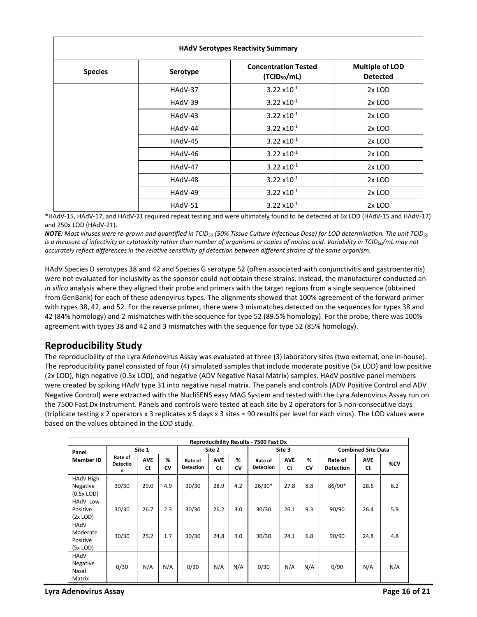| <b>HAdV Serotypes Reactivity Summary</b> |          |                                                         |                                           |  |  |
|------------------------------------------|----------|---------------------------------------------------------|-------------------------------------------|--|--|
| <b>Species</b>                           | Serotype | <b>Concentration Tested</b><br>(TCID <sub>50</sub> /mL) | <b>Multiple of LOD</b><br><b>Detected</b> |  |  |
|                                          | HAdV-37  | $3.22 \times 10^{-1}$                                   | 2x LOD                                    |  |  |
|                                          | HAdV-39  | $3.22 \times 10^{-1}$                                   | 2x LOD                                    |  |  |
|                                          | HAdV-43  | $3.22 \times 10^{-1}$                                   | 2x LOD                                    |  |  |
|                                          | HAdV-44  | $3.22 \times 10^{-1}$                                   | 2x LOD                                    |  |  |
|                                          | HAdV-45  | $3.22 \times 10^{-1}$                                   | 2x LOD                                    |  |  |
|                                          | HAdV-46  | $3.22 \times 10^{-1}$                                   | 2x LOD                                    |  |  |
|                                          | HAdV-47  | $3.22 \times 10^{-1}$                                   | 2x LOD                                    |  |  |
|                                          | HAdV-48  | $3.22 \times 10^{-1}$                                   | 2x LOD                                    |  |  |
|                                          | HAdV-49  | $3.22 \times 10^{-1}$                                   | 2x LOD                                    |  |  |
|                                          | HAdV-51  | $3.22 \times 10^{-1}$                                   | 2x LOD                                    |  |  |

\*HAdV-15, HAdV-17, and HAdV-21 required repeat testing and were ultimately found to be detected at 6x LOD (HAdV-15 and HAdV-17) and 250x LOD (HAdV-21).

*NOTE: Most viruses were re-grown and quantified in TCID<sup>50</sup> (50% Tissue Culture Infectious Dose) for LOD determination. The unit TCID<sup>50</sup> is a measure of infectivity or cytotoxicity rather than number of organisms or copies of nucleic acid. Variability in TCID50/mL may not accurately reflect differences in the relative sensitivity of detection between different strains of the same organism.*

HAdV Species D serotypes 38 and 42 and Species G serotype 52 (often associated with conjunctivitis and gastroenteritis) were not evaluated for inclusivity as the sponsor could not obtain these strains. Instead, the manufacturer conducted an *in silico* analysis where they aligned their probe and primers with the target regions from a single sequence (obtained from GenBank) for each of these adenovirus types. The alignments showed that 100% agreement of the forward primer with types 38, 42, and 52. For the reverse primer, there were 3 mismatches detected on the sequences for types 38 and 42 (84% homology) and 2 mismatches with the sequence for type 52 (89.5% homology). For the probe, there was 100% agreement with types 38 and 42 and 3 mismatches with the sequence for type 52 (85% homology).

# <span id="page-15-0"></span>**Reproducibility Study**

The reproducibility of the Lyra Adenovirus Assay was evaluated at three (3) laboratory sites (two external, one in-house). The reproducibility panel consisted of four (4) simulated samples that include moderate positive (5x LOD) and low positive (2x LOD), high negative (0.5x LOD), and negative (ADV Negative Nasal Matrix) samples. HAdV positive panel members were created by spiking HAdV type 31 into negative nasal matrix. The panels and controls (ADV Positive Control and ADV Negative Control) were extracted with the NucliSENS easy MAG System and tested with the Lyra Adenovirus Assay run on the 7500 Fast Dx Instrument. Panels and controls were tested at each site by 2 operators for 5 non-consecutive days (triplicate testing x 2 operators x 3 replicates x 5 days x 3 sites = 90 results per level for each virus). The LOD values were based on the values obtained in the LOD study.

| <b>Reproducibility Results - 7500 Fast Dx</b> |                                 |                         |         |                             |                  |         |                             |                  |                           |                             |                         |     |
|-----------------------------------------------|---------------------------------|-------------------------|---------|-----------------------------|------------------|---------|-----------------------------|------------------|---------------------------|-----------------------------|-------------------------|-----|
| Panel                                         |                                 | Site 1                  |         | Site 2                      |                  | Site 3  |                             |                  | <b>Combined Site Data</b> |                             |                         |     |
| <b>Member ID</b>                              | Rate of<br><b>Detectio</b><br>n | <b>AVE</b><br><b>Ct</b> | %<br>CV | Rate of<br><b>Detection</b> | <b>AVE</b><br>Ct | ℅<br>CV | Rate of<br><b>Detection</b> | <b>AVE</b><br>Ct | %<br>CV                   | Rate of<br><b>Detection</b> | <b>AVE</b><br><b>Ct</b> | %CV |
| HAdV High<br>Negative<br>$(0.5x$ LOD)         | 30/30                           | 29.0                    | 4.9     | 30/30                       | 28.9             | 4.2     | $26/30*$                    | 27.8             | 8.8                       | 86/90*                      | 28.6                    | 6.2 |
| HAdV Low<br>Positive<br>$(2x$ LOD)            | 30/30                           | 26.7                    | 2.3     | 30/30                       | 26.2             | 3.0     | 30/30                       | 26.1             | 9.3                       | 90/90                       | 26.4                    | 5.9 |
| HAdV<br>Moderate<br>Positive<br>$(5x$ LOD)    | 30/30                           | 25.2                    | 1.7     | 30/30                       | 24.8             | 3.0     | 30/30                       | 24.1             | 6.8                       | 90/90                       | 24.8                    | 4.8 |
| HAdV<br>Negative<br>Nasal<br>Matrix           | 0/30                            | N/A                     | N/A     | 0/30                        | N/A              | N/A     | 0/30                        | N/A              | N/A                       | 0/90                        | N/A                     | N/A |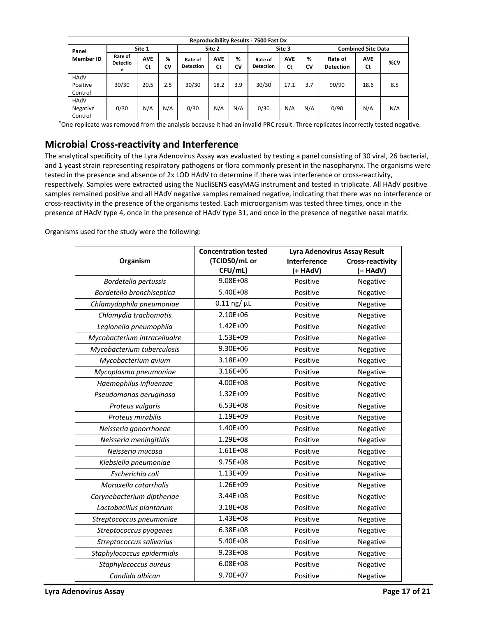|                             | <b>Reproducibility Results - 7500 Fast Dx</b> |                  |         |                             |                  |         |                             |                  |                           |                             |                  |     |
|-----------------------------|-----------------------------------------------|------------------|---------|-----------------------------|------------------|---------|-----------------------------|------------------|---------------------------|-----------------------------|------------------|-----|
| Panel                       |                                               | Site 1           |         | Site 2                      |                  | Site 3  |                             |                  | <b>Combined Site Data</b> |                             |                  |     |
| <b>Member ID</b>            | Rate of<br><b>Detectio</b><br>n               | <b>AVE</b><br>Ct | %<br>CV | Rate of<br><b>Detection</b> | <b>AVE</b><br>Ct | %<br>CV | Rate of<br><b>Detection</b> | <b>AVE</b><br>Ct | %<br>CV                   | Rate of<br><b>Detection</b> | <b>AVE</b><br>Ct | %CV |
| HAdV<br>Positive<br>Control | 30/30                                         | 20.5             | 2.5     | 30/30                       | 18.2             | 3.9     | 30/30                       | 17.1             | 3.7                       | 90/90                       | 18.6             | 8.5 |
| HAdV<br>Negative<br>Control | 0/30                                          | N/A              | N/A     | 0/30                        | N/A              | N/A     | 0/30                        | N/A              | N/A                       | 0/90                        | N/A              | N/A |

\*One replicate was removed from the analysis because it had an invalid PRC result. Three replicates incorrectly tested negative.

#### <span id="page-16-0"></span>**Microbial Cross-reactivity and Interference**

The analytical specificity of the Lyra Adenovirus Assay was evaluated by testing a panel consisting of 30 viral, 26 bacterial, and 1 yeast strain representing respiratory pathogens or flora commonly present in the nasopharynx. The organisms were tested in the presence and absence of 2x LOD HAdV to determine if there was interference or cross-reactivity, respectively. Samples were extracted using the NucliSENS easyMAG instrument and tested in triplicate. All HAdV positive samples remained positive and all HAdV negative samples remained negative, indicating that there was no interference or cross-reactivity in the presence of the organisms tested. Each microorganism was tested three times, once in the presence of HAdV type 4, once in the presence of HAdV type 31, and once in the presence of negative nasal matrix.

Organisms used for the study were the following:

|                              | <b>Concentration tested</b> | <b>Lyra Adenovirus Assay Result</b> |                         |  |  |
|------------------------------|-----------------------------|-------------------------------------|-------------------------|--|--|
| Organism                     | (TCID50/mL or               | Interference                        | <b>Cross-reactivity</b> |  |  |
|                              | CFU/mL)                     | (+ HAdV)                            | (- HAdV)                |  |  |
| Bordetella pertussis         | $9.08E + 08$                | Positive                            | Negative                |  |  |
| Bordetella bronchiseptica    | 5.40E+08                    | Positive                            | Negative                |  |  |
| Chlamydophila pneumoniae     | $0.11$ ng/ $\mu$ L          | Positive                            | Negative                |  |  |
| Chlamydia trachomatis        | 2.10E+06                    | Positive                            | Negative                |  |  |
| Legionella pneumophila       | 1.42E+09                    | Positive                            | Negative                |  |  |
| Mycobacterium intracellualre | 1.53E+09                    | Positive                            | Negative                |  |  |
| Mycobacterium tuberculosis   | 9.30E+06                    | Positive                            | Negative                |  |  |
| Mycobacterium avium          | 3.18E+09                    | Positive                            | Negative                |  |  |
| Mycoplasma pneumoniae        | 3.16E+06                    | Positive                            | Negative                |  |  |
| Haemophilus influenzae       | 4.00E+08                    | Positive                            | Negative                |  |  |
| Pseudomonas aeruginosa       | 1.32E+09                    | Positive                            | Negative                |  |  |
| Proteus vulgaris             | 6.53E+08                    | Positive                            | Negative                |  |  |
| Proteus mirabilis            | 1.19E+09                    | Positive                            | Negative                |  |  |
| Neisseria gonorrhoeae        | 1.40E+09                    | Positive                            | Negative                |  |  |
| Neisseria meningitidis       | 1.29E+08                    | Positive                            | Negative                |  |  |
| Neisseria mucosa             | $1.61E + 08$                | Positive                            | Negative                |  |  |
| Klebsiella pneumoniae        | 9.75E+08                    | Positive                            | Negative                |  |  |
| Escherichia coli             | 1.13E+09                    | Positive                            | Negative                |  |  |
| Moraxella catarrhalis        | 1.26E+09                    | Positive                            | Negative                |  |  |
| Corynebacterium diptheriae   | 3.44E+08                    | Positive                            | Negative                |  |  |
| Lactobacillus plantarum      | 3.18E+08                    | Positive                            | Negative                |  |  |
| Streptococcus pneumoniae     | 1.43E+08                    | Positive                            | Negative                |  |  |
| Streptococcus pyogenes       | 6.38E+08                    | Positive                            | Negative                |  |  |
| Streptococcus salivarius     | 5.40E+08                    | Positive                            | Negative                |  |  |
| Staphylococcus epidermidis   | $9.23E + 08$                | Positive                            | Negative                |  |  |
| Staphylococcus aureus        | $6.08E + 08$                | Positive                            | Negative                |  |  |
| Candida albican              | 9.70E+07                    | Positive                            | Negative                |  |  |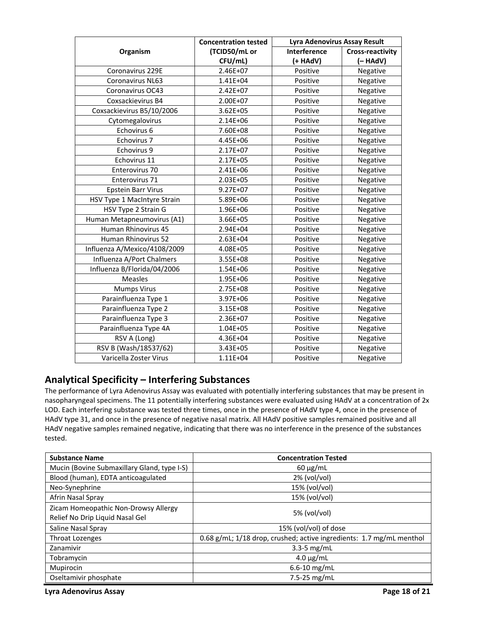|                              | <b>Concentration tested</b> | <b>Lyra Adenovirus Assay Result</b> |                         |  |  |
|------------------------------|-----------------------------|-------------------------------------|-------------------------|--|--|
| Organism                     | (TCID50/mL or               | Interference                        | <b>Cross-reactivity</b> |  |  |
|                              | CFU/mL)                     | (+ HAdV)                            | (- HAdV)                |  |  |
| Coronavirus 229E             | 2.46E+07                    | Positive                            | Negative                |  |  |
| <b>Coronavirus NL63</b>      | $1.41E + 04$                | Positive                            | Negative                |  |  |
| Coronavirus OC43             | 2.42E+07                    | Positive                            | Negative                |  |  |
| Coxsackievirus B4            | 2.00E+07                    | Positive                            | Negative                |  |  |
| Coxsackievirus B5/10/2006    | $3.62E + 05$                | Positive                            | Negative                |  |  |
| Cytomegalovirus              | 2.14E+06                    | Positive                            | Negative                |  |  |
| Echovirus 6                  | 7.60E+08                    | Positive                            | Negative                |  |  |
| Echovirus 7                  | 4.45E+06                    | Positive                            | Negative                |  |  |
| Echovirus 9                  | 2.17E+07                    | Positive                            | Negative                |  |  |
| Echovirus 11                 | 2.17E+05                    | Positive                            | Negative                |  |  |
| Enterovirus 70               | 2.41E+06                    | Positive                            | Negative                |  |  |
| Enterovirus 71               | 2.03E+05                    | Positive                            | Negative                |  |  |
| <b>Epstein Barr Virus</b>    | $9.27E + 07$                | Positive                            | Negative                |  |  |
| HSV Type 1 MacIntyre Strain  | 5.89E+06                    | Positive                            | Negative                |  |  |
| HSV Type 2 Strain G          | 1.96E+06                    | Positive                            | Negative                |  |  |
| Human Metapneumovirus (A1)   | 3.66E+05                    | Positive                            | Negative                |  |  |
| Human Rhinovirus 45          | 2.94E+04                    | Positive                            | Negative                |  |  |
| <b>Human Rhinovirus 52</b>   | 2.63E+04                    | Positive                            | Negative                |  |  |
| Influenza A/Mexico/4108/2009 | 4.08E+05                    | Positive                            | Negative                |  |  |
| Influenza A/Port Chalmers    | 3.55E+08                    | Positive                            | Negative                |  |  |
| Influenza B/Florida/04/2006  | 1.54E+06                    | Positive                            | Negative                |  |  |
| <b>Measles</b>               | 1.95E+06                    | Positive                            | Negative                |  |  |
| <b>Mumps Virus</b>           | 2.75E+08                    | Positive                            | Negative                |  |  |
| Parainfluenza Type 1         | 3.97E+06                    | Positive                            | Negative                |  |  |
| Parainfluenza Type 2         | 3.15E+08                    | Positive                            | Negative                |  |  |
| Parainfluenza Type 3         | 2.36E+07                    | Positive                            | Negative                |  |  |
| Parainfluenza Type 4A        | 1.04E+05                    | Positive                            | Negative                |  |  |
| RSV A (Long)                 | 4.36E+04                    | Positive                            | Negative                |  |  |
| RSV B (Wash/18537/62)        | 3.43E+05                    | Positive                            | Negative                |  |  |
| Varicella Zoster Virus       | $1.11E + 04$                | Positive                            | Negative                |  |  |

#### <span id="page-17-0"></span>**Analytical Specificity – Interfering Substances**

The performance of Lyra Adenovirus Assay was evaluated with potentially interfering substances that may be present in nasopharyngeal specimens. The 11 potentially interfering substances were evaluated using HAdV at a concentration of 2x LOD. Each interfering substance was tested three times, once in the presence of HAdV type 4, once in the presence of HAdV type 31, and once in the presence of negative nasal matrix. All HAdV positive samples remained positive and all HAdV negative samples remained negative, indicating that there was no interference in the presence of the substances tested.

| <b>Substance Name</b>                                                   | <b>Concentration Tested</b>                                          |
|-------------------------------------------------------------------------|----------------------------------------------------------------------|
| Mucin (Bovine Submaxillary Gland, type I-S)                             | $60 \mu g/mL$                                                        |
| Blood (human), EDTA anticoagulated                                      | 2% (vol/vol)                                                         |
| Neo-Synephrine                                                          | 15% (vol/vol)                                                        |
| Afrin Nasal Spray                                                       | 15% (vol/vol)                                                        |
| Zicam Homeopathic Non-Drowsy Allergy<br>Relief No Drip Liquid Nasal Gel | 5% (vol/vol)                                                         |
| Saline Nasal Spray                                                      | 15% (vol/vol) of dose                                                |
| <b>Throat Lozenges</b>                                                  | 0.68 g/mL; 1/18 drop, crushed; active ingredients: 1.7 mg/mL menthol |
| Zanamivir                                                               | $3.3 - 5$ mg/mL                                                      |
| Tobramycin                                                              | $4.0 \mu g/mL$                                                       |
| Mupirocin                                                               | $6.6 - 10$ mg/mL                                                     |
| Oseltamivir phosphate                                                   | $7.5 - 25$ mg/mL                                                     |

**Lyra Adenovirus Assay Page 18 of 21**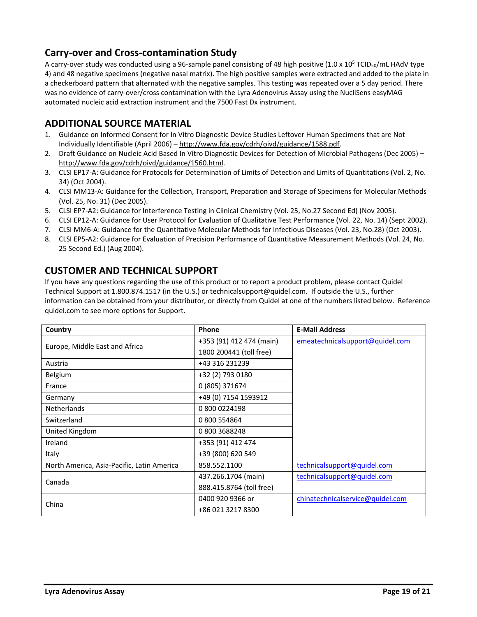# <span id="page-18-0"></span>**Carry-over and Cross-contamination Study**

A carry-over study was conducted using a 96-sample panel consisting of 48 high positive  $(1.0 \times 10^5 \text{ TCID}_{50}/\text{mL}$  HAdV type 4) and 48 negative specimens (negative nasal matrix). The high positive samples were extracted and added to the plate in a checkerboard pattern that alternated with the negative samples. This testing was repeated over a 5 day period. There was no evidence of carry-over/cross contamination with the Lyra Adenovirus Assay using the NucliSens easyMAG automated nucleic acid extraction instrument and the 7500 Fast Dx instrument.

# <span id="page-18-1"></span>**ADDITIONAL SOURCE MATERIAL**

- 1. Guidance on Informed Consent for In Vitro Diagnostic Device Studies Leftover Human Specimens that are Not Individually Identifiable (April 2006) – [http://www.fda.gov/cdrh/oivd/guidance/1588.pdf.](http://www.fda.gov/cdrh/oivd/guidance/1588.pdf)
- 2. Draft Guidance on Nucleic Acid Based In Vitro Diagnostic Devices for Detection of Microbial Pathogens (Dec 2005) [http://www.fda.gov/cdrh/oivd/guidance/1560.html.](http://www.fda.gov/cdrh/oivd/guidance/1560.html)
- 3. CLSI EP17-A: Guidance for Protocols for Determination of Limits of Detection and Limits of Quantitations (Vol. 2, No. 34) (Oct 2004).
- 4. CLSI MM13-A: Guidance for the Collection, Transport, Preparation and Storage of Specimens for Molecular Methods (Vol. 25, No. 31) (Dec 2005).
- 5. CLSI EP7-A2: Guidance for Interference Testing in Clinical Chemistry (Vol. 25, No.27 Second Ed) (Nov 2005).
- 6. CLSI EP12-A: Guidance for User Protocol for Evaluation of Qualitative Test Performance (Vol. 22, No. 14) (Sept 2002).
- 7. CLSI MM6-A: Guidance for the Quantitative Molecular Methods for Infectious Diseases (Vol. 23, No.28) (Oct 2003).
- 8. CLSI EP5-A2: Guidance for Evaluation of Precision Performance of Quantitative Measurement Methods (Vol. 24, No. 25 Second Ed.) (Aug 2004).

# <span id="page-18-2"></span>**CUSTOMER AND TECHNICAL SUPPORT**

If you have any questions regarding the use of this product or to report a product problem, please contact Quidel Technical Support at 1.800.874.1517 (in the U.S.) or technicalsupport@quidel.com. If outside the U.S., further information can be obtained from your distributor, or directly from Quidel at one of the numbers listed below. Reference quidel.com to see more options for Support.

<span id="page-18-3"></span>

| Country                                    | Phone                    | <b>E-Mail Address</b>            |
|--------------------------------------------|--------------------------|----------------------------------|
| Europe, Middle East and Africa             | +353 (91) 412 474 (main) | emeatechnicalsupport@quidel.com  |
|                                            | 1800 200441 (toll free)  |                                  |
| Austria                                    | +43 316 231239           |                                  |
| Belgium                                    | +32 (2) 793 0180         |                                  |
| France                                     | 0 (805) 371674           |                                  |
| Germany                                    | +49 (0) 7154 1593912     |                                  |
| <b>Netherlands</b>                         | 0 800 0224198            |                                  |
| Switzerland                                | 0 800 554864             |                                  |
| United Kingdom                             | 08003688248              |                                  |
| Ireland                                    | +353 (91) 412 474        |                                  |
| Italy                                      | +39 (800) 620 549        |                                  |
| North America, Asia-Pacific, Latin America | 858.552.1100             | technicalsupport@quidel.com      |
| Canada                                     | 437.266.1704 (main)      | technicalsupport@quidel.com      |
|                                            | 888.415.8764 (toll free) |                                  |
| China                                      | 0400 920 9366 or         | chinatechnicalservice@quidel.com |
|                                            | +86 021 3217 8300        |                                  |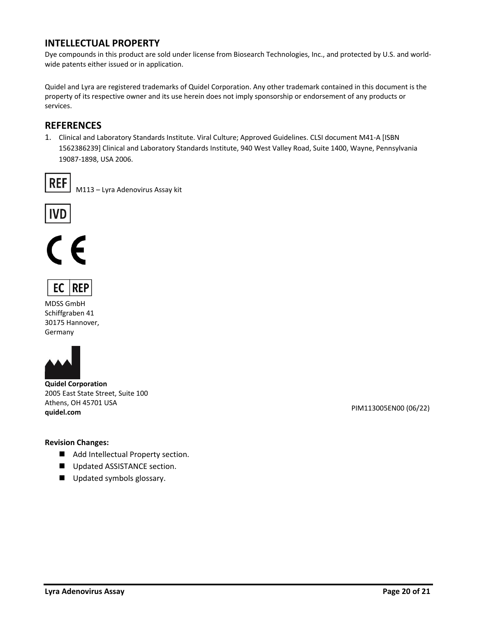#### **INTELLECTUAL PROPERTY**

Dye compounds in this product are sold under license from Biosearch Technologies, Inc., and protected by U.S. and worldwide patents either issued or in application.

Quidel and Lyra are registered trademarks of Quidel Corporation. Any other trademark contained in this document is the property of its respective owner and its use herein does not imply sponsorship or endorsement of any products or services.

#### <span id="page-19-0"></span>**REFERENCES**

1. Clinical and Laboratory Standards Institute. Viral Culture; Approved Guidelines. CLSI document M41-A [ISBN 1562386239] Clinical and Laboratory Standards Institute, 940 West Valley Road, Suite 1400, Wayne, Pennsylvania 19087-1898, USA 2006.



M113 – Lyra Adenovirus Assay kit







MDSS GmbH Schiffgraben 41 30175 Hannover, Germany



**Quidel Corporation** 2005 East State Street, Suite 100 Athens, OH 45701 USA **quidel.com** PIM113005EN00 (06/22)

#### **Revision Changes:**

- Add Intellectual Property section.
- Updated ASSISTANCE section.
- Updated symbols glossary.